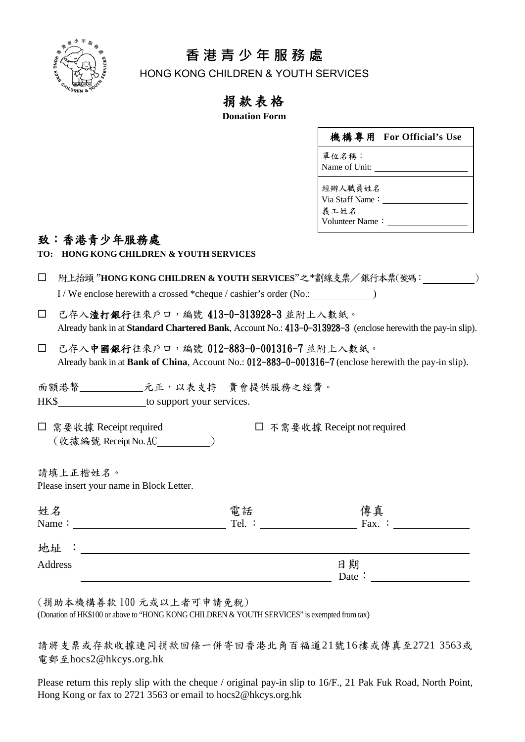

## **香 港 青 少 年 服 務 處**

HONG KONG CHILDREN & YOUTH SERVICES

## 捐款表格

**Donation Form**

|                 | 機構專用 For Official's Use |
|-----------------|-------------------------|
| 單位名稱:           |                         |
| Name of Unit:   |                         |
| 經辦人職員姓名         |                         |
| Via Staff Name: |                         |
| 義工姓名            |                         |
| Volunteer Name: |                         |

## 致:香港青少年服務處

|  | TO: HONG KONG CHILDREN & YOUTH SERVICES |  |  |  |
|--|-----------------------------------------|--|--|--|
|--|-----------------------------------------|--|--|--|

| □ 附上抬頭 "HONG KONG CHILDREN & YOUTH SERVICES"之 *劃線支票/銀行本票(號碼:    |  |
|-----------------------------------------------------------------|--|
| I/We enclose herewith a crossed *cheque / cashier's order (No.: |  |

- 已存入渣打銀行往來戶口,編號 413-0-313928-3 並附上入數紙。 Already bank in at **Standard Chartered Bank**, Account No.: 413-0-313928-3 (enclose herewith the pay-in slip).
- 已存入中國銀行往來戶口,編號 012-883-0-001316-7 並附上入數紙。 Already bank in at **Bank of China**, Account No.: 012-883-0-001316-7 (enclose herewith the pay-in slip).

面額港幣 \_\_\_\_\_\_\_\_\_\_ 元正,以表支持 貴會提供服務之經費。 HK\$ to support your services.

□ 需要收據 Receipt required □ 不需要收據 Receipt not required (收據編號 ReceiptNo.AC )

請填上正楷姓名。 Please insert your name in Block Letter.

| 姓名<br>Name:          | 電話<br>Tel. : | 傳真<br>Fax. : |  |
|----------------------|--------------|--------------|--|
| 地址<br>$\ddot{\cdot}$ |              |              |  |
| Address              |              | 日期<br>Date:  |  |

(捐助本機構善款 100 元或以上者可申請免稅)

(Donation of HK\$100 or above to "HONG KONG CHILDREN & YOUTH SERVICES" is exempted from tax)

請將支票或存款收據連同捐款回條一併寄回香港北角百福道21號16樓或傳真至2721 3563或 電郵至[hocs2@hkcys.org.hk](mailto:hocs2@hkcys.org.hk)

Please return this reply slip with the cheque / original pay-in slip to 16/F., 21 Pak Fuk Road, North Point, Hong Kong or fax to 2721 3563 or [email to hocs2@hkcys.org.hk](mailto:hocs2@hkcys.org.hk)